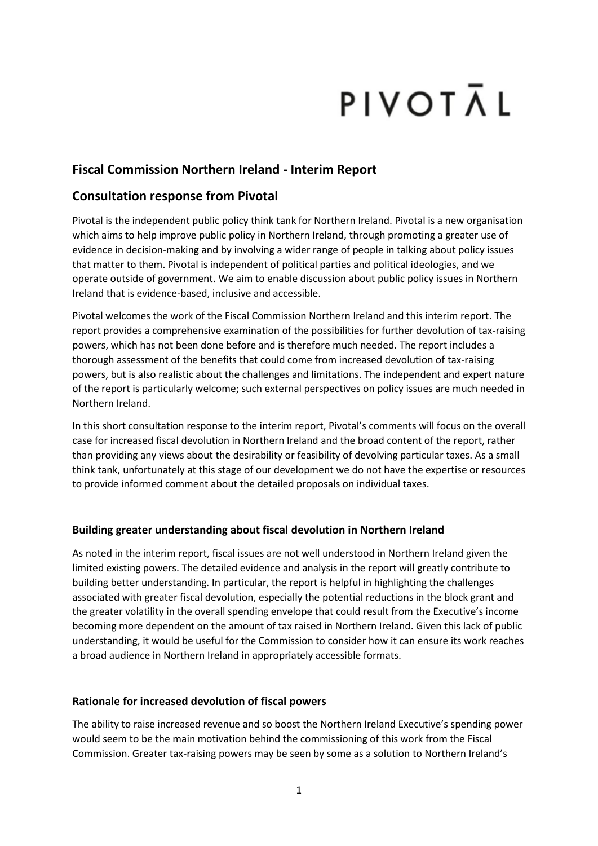# PIVOTĀL

# **Fiscal Commission Northern Ireland - Interim Report**

# **Consultation response from Pivotal**

Pivotal is the independent public policy think tank for Northern Ireland. Pivotal is a new organisation which aims to help improve public policy in Northern Ireland, through promoting a greater use of evidence in decision-making and by involving a wider range of people in talking about policy issues that matter to them. Pivotal is independent of political parties and political ideologies, and we operate outside of government. We aim to enable discussion about public policy issues in Northern Ireland that is evidence-based, inclusive and accessible.

Pivotal welcomes the work of the Fiscal Commission Northern Ireland and this interim report. The report provides a comprehensive examination of the possibilities for further devolution of tax-raising powers, which has not been done before and is therefore much needed. The report includes a thorough assessment of the benefits that could come from increased devolution of tax-raising powers, but is also realistic about the challenges and limitations. The independent and expert nature of the report is particularly welcome; such external perspectives on policy issues are much needed in Northern Ireland.

In this short consultation response to the interim report, Pivotal's comments will focus on the overall case for increased fiscal devolution in Northern Ireland and the broad content of the report, rather than providing any views about the desirability or feasibility of devolving particular taxes. As a small think tank, unfortunately at this stage of our development we do not have the expertise or resources to provide informed comment about the detailed proposals on individual taxes.

## **Building greater understanding about fiscal devolution in Northern Ireland**

As noted in the interim report, fiscal issues are not well understood in Northern Ireland given the limited existing powers. The detailed evidence and analysis in the report will greatly contribute to building better understanding. In particular, the report is helpful in highlighting the challenges associated with greater fiscal devolution, especially the potential reductions in the block grant and the greater volatility in the overall spending envelope that could result from the Executive's income becoming more dependent on the amount of tax raised in Northern Ireland. Given this lack of public understanding, it would be useful for the Commission to consider how it can ensure its work reaches a broad audience in Northern Ireland in appropriately accessible formats.

### **Rationale for increased devolution of fiscal powers**

The ability to raise increased revenue and so boost the Northern Ireland Executive's spending power would seem to be the main motivation behind the commissioning of this work from the Fiscal Commission. Greater tax-raising powers may be seen by some as a solution to Northern Ireland's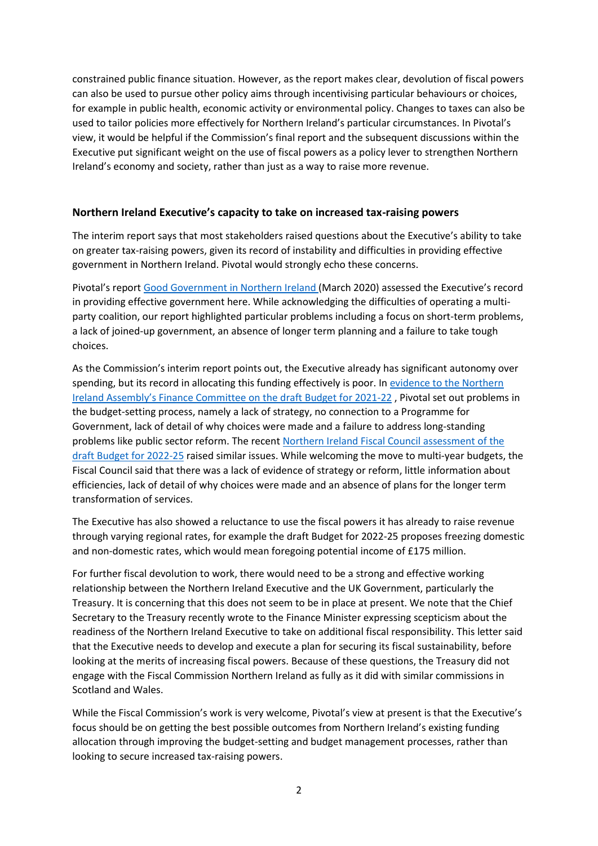constrained public finance situation. However, as the report makes clear, devolution of fiscal powers can also be used to pursue other policy aims through incentivising particular behaviours or choices, for example in public health, economic activity or environmental policy. Changes to taxes can also be used to tailor policies more effectively for Northern Ireland's particular circumstances. In Pivotal's view, it would be helpful if the Commission's final report and the subsequent discussions within the Executive put significant weight on the use of fiscal powers as a policy lever to strengthen Northern Ireland's economy and society, rather than just as a way to raise more revenue.

#### **Northern Ireland Executive's capacity to take on increased tax-raising powers**

The interim report says that most stakeholders raised questions about the Executive's ability to take on greater tax-raising powers, given its record of instability and difficulties in providing effective government in Northern Ireland. Pivotal would strongly echo these concerns.

Pivotal's report [Good Government in Northern Ireland](https://www.pivotalppf.org/cmsfiles/Publications/Good-Government-in-Northern-Ireland.pdf) (March 2020) assessed the Executive's record in providing effective government here. While acknowledging the difficulties of operating a multiparty coalition, our report highlighted particular problems including a focus on short-term problems, a lack of joined-up government, an absence of longer term planning and a failure to take tough choices.

As the Commission's interim report points out, the Executive already has significant autonomy over spending, but its record in allocating this funding effectively is poor. In [evidence to the Northern](https://www.pivotalppf.org/cmsfiles/20210204-Draft-Budget-202122-Pivotal-evidence-for-Finance-Committee.pdf)  [Ireland Assembly's Finance Committee on the draft Budget f](https://www.pivotalppf.org/cmsfiles/20210204-Draft-Budget-202122-Pivotal-evidence-for-Finance-Committee.pdf)or 2021-22 , Pivotal set out problems in the budget-setting process, namely a lack of strategy, no connection to a Programme for Government, lack of detail of why choices were made and a failure to address long-standing problems like public sector reform. The recen[t Northern Ireland Fiscal Council assessment of the](https://www.nifiscalcouncil.org/files/nifiscalcouncil/documents/2022-01/nifc-budget-report-jan-2022-full-final-version-19.01.22-14.30.pdf)  [draft Budget for 2022-25](https://www.nifiscalcouncil.org/files/nifiscalcouncil/documents/2022-01/nifc-budget-report-jan-2022-full-final-version-19.01.22-14.30.pdf) raised similar issues. While welcoming the move to multi-year budgets, the Fiscal Council said that there was a lack of evidence of strategy or reform, little information about efficiencies, lack of detail of why choices were made and an absence of plans for the longer term transformation of services.

The Executive has also showed a reluctance to use the fiscal powers it has already to raise revenue through varying regional rates, for example the draft Budget for 2022-25 proposes freezing domestic and non-domestic rates, which would mean foregoing potential income of £175 million.

For further fiscal devolution to work, there would need to be a strong and effective working relationship between the Northern Ireland Executive and the UK Government, particularly the Treasury. It is concerning that this does not seem to be in place at present. We note that the Chief Secretary to the Treasury recently wrote to the Finance Minister expressing scepticism about the readiness of the Northern Ireland Executive to take on additional fiscal responsibility. This letter said that the Executive needs to develop and execute a plan for securing its fiscal sustainability, before looking at the merits of increasing fiscal powers. Because of these questions, the Treasury did not engage with the Fiscal Commission Northern Ireland as fully as it did with similar commissions in Scotland and Wales.

While the Fiscal Commission's work is very welcome, Pivotal's view at present is that the Executive's focus should be on getting the best possible outcomes from Northern Ireland's existing funding allocation through improving the budget-setting and budget management processes, rather than looking to secure increased tax-raising powers.